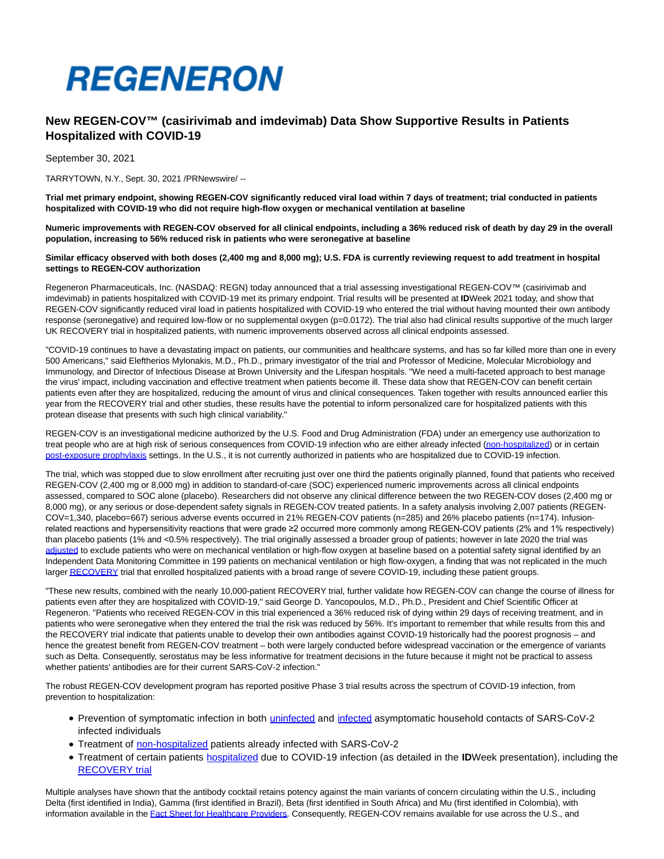# **REGENERON**

# **New REGEN-COV™ (casirivimab and imdevimab) Data Show Supportive Results in Patients Hospitalized with COVID-19**

September 30, 2021

TARRYTOWN, N.Y., Sept. 30, 2021 /PRNewswire/ --

**Trial met primary endpoint, showing REGEN-COV significantly reduced viral load within 7 days of treatment; trial conducted in patients hospitalized with COVID-19 who did not require high-flow oxygen or mechanical ventilation at baseline**

**Numeric improvements with REGEN-COV observed for all clinical endpoints, including a 36% reduced risk of death by day 29 in the overall population, increasing to 56% reduced risk in patients who were seronegative at baseline**

#### **Similar efficacy observed with both doses (2,400 mg and 8,000 mg); U.S. FDA is currently reviewing request to add treatment in hospital settings to REGEN-COV authorization**

Regeneron Pharmaceuticals, Inc. (NASDAQ: REGN) today announced that a trial assessing investigational REGEN-COV™ (casirivimab and imdevimab) in patients hospitalized with COVID-19 met its primary endpoint. Trial results will be presented at **ID**Week 2021 today, and show that REGEN-COV significantly reduced viral load in patients hospitalized with COVID-19 who entered the trial without having mounted their own antibody response (seronegative) and required low-flow or no supplemental oxygen (p=0.0172). The trial also had clinical results supportive of the much larger UK RECOVERY trial in hospitalized patients, with numeric improvements observed across all clinical endpoints assessed.

"COVID-19 continues to have a devastating impact on patients, our communities and healthcare systems, and has so far killed more than one in every 500 Americans," said Eleftherios Mylonakis, M.D., Ph.D., primary investigator of the trial and Professor of Medicine, Molecular Microbiology and Immunology, and Director of Infectious Disease at Brown University and the Lifespan hospitals. "We need a multi-faceted approach to best manage the virus' impact, including vaccination and effective treatment when patients become ill. These data show that REGEN-COV can benefit certain patients even after they are hospitalized, reducing the amount of virus and clinical consequences. Taken together with results announced earlier this year from the RECOVERY trial and other studies, these results have the potential to inform personalized care for hospitalized patients with this protean disease that presents with such high clinical variability."

REGEN-COV is an investigational medicine authorized by the U.S. Food and Drug Administration (FDA) under an emergency use authorization to treat people who are at high risk of serious consequences from COVID-19 infection who are either already infected [\(non-hospitalized\)](https://c212.net/c/link/?t=0&l=en&o=3307638-1&h=4227286138&u=https%3A%2F%2Fc212.net%2Fc%2Flink%2F%3Ft%3D0%26l%3Den%26o%3D3248768-1%26h%3D413951135%26u%3Dhttps%253A%252F%252Finvestor.regeneron.com%252Fnews-releases%252Fnews-release-details%252Fregenerons-regen-cov2-first-antibody-cocktail-covid-19-receive%26a%3Dnon-hospitalized&a=non-hospitalized) or in certain [post-exposure prophylaxis s](https://c212.net/c/link/?t=0&l=en&o=3307638-1&h=425782009&u=https%3A%2F%2Fc212.net%2Fc%2Flink%2F%3Ft%3D0%26l%3Den%26o%3D3248768-1%26h%3D2586211272%26u%3Dhttps%253A%252F%252Fnewsroom.regeneron.com%252Fnews-releases%252Fnews-release-details%252Ffda-expands-authorized-use-regen-covtm-casirivimab-and-imdevimab%26a%3Dpost-exposure%2Bprophylaxis&a=post-exposure+prophylaxis)ettings. In the U.S., it is not currently authorized in patients who are hospitalized due to COVID-19 infection.

The trial, which was stopped due to slow enrollment after recruiting just over one third the patients originally planned, found that patients who received REGEN-COV (2,400 mg or 8,000 mg) in addition to standard-of-care (SOC) experienced numeric improvements across all clinical endpoints assessed, compared to SOC alone (placebo). Researchers did not observe any clinical difference between the two REGEN-COV doses (2,400 mg or 8,000 mg), or any serious or dose-dependent safety signals in REGEN-COV treated patients. In a safety analysis involving 2,007 patients (REGEN-COV=1,340, placebo=667) serious adverse events occurred in 21% REGEN-COV patients (n=285) and 26% placebo patients (n=174). Infusionrelated reactions and hypersensitivity reactions that were grade ≥2 occurred more commonly among REGEN-COV patients (2% and 1% respectively) than placebo patients (1% and <0.5% respectively). The trial originally assessed a broader group of patients; however in late 2020 the trial was [adjusted t](https://c212.net/c/link/?t=0&l=en&o=3307638-1&h=1183013573&u=https%3A%2F%2Finvestor.regeneron.com%2Fnews-releases%2Fnews-release-details%2Fregn-cov2-independent-data-monitoring-committee-recommends%2F&a=adjusted)o exclude patients who were on mechanical ventilation or high-flow oxygen at baseline based on a potential safety signal identified by an Independent Data Monitoring Committee in 199 patients on mechanical ventilation or high flow-oxygen, a finding that was not replicated in the much large[r RECOVERY t](https://c212.net/c/link/?t=0&l=en&o=3307638-1&h=1872628137&u=https%3A%2F%2Finvestor.regeneron.com%2Findex.php%2Fnews-releases%2Fnews-release-details%2Fregen-covtm-casirivimab-and-imdevimab-phase-3-recovery-trial&a=RECOVERY)rial that enrolled hospitalized patients with a broad range of severe COVID-19, including these patient groups.

"These new results, combined with the nearly 10,000-patient RECOVERY trial, further validate how REGEN-COV can change the course of illness for patients even after they are hospitalized with COVID-19," said George D. Yancopoulos, M.D., Ph.D., President and Chief Scientific Officer at Regeneron. "Patients who received REGEN-COV in this trial experienced a 36% reduced risk of dying within 29 days of receiving treatment, and in patients who were seronegative when they entered the trial the risk was reduced by 56%. It's important to remember that while results from this and the RECOVERY trial indicate that patients unable to develop their own antibodies against COVID-19 historically had the poorest prognosis – and hence the greatest benefit from REGEN-COV treatment – both were largely conducted before widespread vaccination or the emergence of variants such as Delta. Consequently, serostatus may be less informative for treatment decisions in the future because it might not be practical to assess whether patients' antibodies are for their current SARS-CoV-2 infection."

The robust REGEN-COV development program has reported positive Phase 3 trial results across the spectrum of COVID-19 infection, from prevention to hospitalization:

- Prevention of symptomatic infection in both [uninfected a](https://c212.net/c/link/?t=0&l=en&o=3307638-1&h=4058306573&u=https%3A%2F%2Fwww.nejm.org%2Fdoi%2Ffull%2F10.1056%2FNEJMoa2109682&a=uninfected)nd [infected a](https://c212.net/c/link/?t=0&l=en&o=3307638-1&h=2197583845&u=https%3A%2F%2Fnewsroom.regeneron.com%2Fnews-releases%2Fnews-release-details%2Fphase-3-treatment-trial-recently-infected-asymptomatic-patients&a=infected)symptomatic household contacts of SARS-CoV-2 infected individuals
- Treatment of [non-hospitalized p](https://c212.net/c/link/?t=0&l=en&o=3307638-1&h=2426227182&u=https%3A%2F%2Fwww.nejm.org%2Fdoi%2Ffull%2F10.1056%2FNEJMoa2108163&a=non-hospitalized)atients already infected with SARS-CoV-2
- Treatment of certain patients [hospitalized d](https://c212.net/c/link/?t=0&l=en&o=3307638-1&h=1555173345&u=https%3A%2F%2Finvestor.regeneron.com%2Fnews-releases%2Fnews-release-details%2Fregeneron-announces-encouraging-initial-data-covid-19-antibody%2F&a=hospitalized)ue to COVID-19 infection (as detailed in the **ID**Week presentation), including the [RECOVERY trial](https://c212.net/c/link/?t=0&l=en&o=3307638-1&h=1906703788&u=https%3A%2F%2Finvestor.regeneron.com%2Findex.php%2Fnews-releases%2Fnews-release-details%2Fregen-covtm-casirivimab-and-imdevimab-phase-3-recovery-trial&a=RECOVERY+trial)

Multiple analyses have shown that the antibody cocktail retains potency against the main variants of concern circulating within the U.S., including Delta (first identified in India), Gamma (first identified in Brazil), Beta (first identified in South Africa) and Mu (first identified in Colombia), with information available in the Eact Sheet for Healthcare Providers. Consequently, REGEN-COV remains available for use across the U.S., and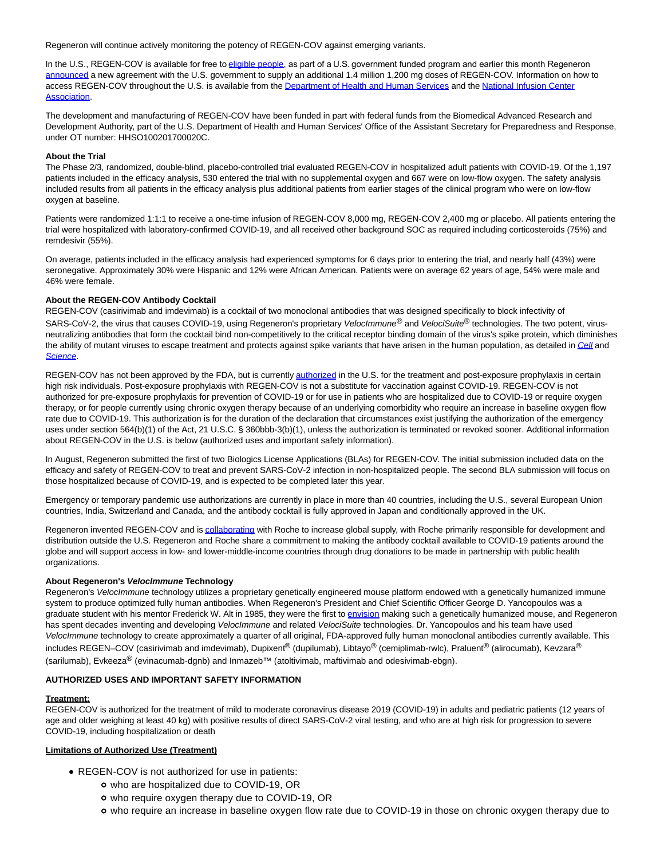Regeneron will continue actively monitoring the potency of REGEN-COV against emerging variants.

In the U.S., REGEN-COV is available for free to [eligible people](https://c212.net/c/link/?t=0&l=en&o=3307638-1&h=114889591&u=https%3A%2F%2Fc212.net%2Fc%2Flink%2F%3Ft%3D0%26l%3Den%26o%3D3265820-1%26h%3D736566123%26u%3Dhttps%253A%252F%252Fwww.regeneron.com%252Fdownloads%252Ftreatment-covid19-eua-fact-sheet-for-hcp.pdf%26a%3Deligible%2Bpeople&a=eligible+people), as part of a U.S. government funded program and earlier this month Regeneron [announced a](https://c212.net/c/link/?t=0&l=en&o=3307638-1&h=3594307684&u=https%3A%2F%2Finvestor.regeneron.com%2Fnews-releases%2Fnews-release-details%2Fregeneron-announces-new-us-government-agreement-purchase&a=announced) new agreement with the U.S. government to supply an additional 1.4 million 1,200 mg doses of REGEN-COV. Information on how to access REGEN-COV throughout the U.S. is available from the [Department of Health and Human Services a](https://c212.net/c/link/?t=0&l=en&o=3307638-1&h=3087604980&u=https%3A%2F%2Fprotect-public.hhs.gov%2Fpages%2Ftherapeutics-distribution%23distribution-locations&a=Department+of+Health+and+Human+Services)nd the [National Infusion Center](https://c212.net/c/link/?t=0&l=en&o=3307638-1&h=3585506958&u=https%3A%2F%2Fcovid.infusioncenter.org%2F&a=National+Infusion+Center+Association) Association.

The development and manufacturing of REGEN-COV have been funded in part with federal funds from the Biomedical Advanced Research and Development Authority, part of the U.S. Department of Health and Human Services' Office of the Assistant Secretary for Preparedness and Response, under OT number: HHSO100201700020C.

# **About the Trial**

The Phase 2/3, randomized, double-blind, placebo-controlled trial evaluated REGEN-COV in hospitalized adult patients with COVID-19. Of the 1,197 patients included in the efficacy analysis, 530 entered the trial with no supplemental oxygen and 667 were on low-flow oxygen. The safety analysis included results from all patients in the efficacy analysis plus additional patients from earlier stages of the clinical program who were on low-flow oxygen at baseline.

Patients were randomized 1:1:1 to receive a one-time infusion of REGEN-COV 8,000 mg, REGEN-COV 2,400 mg or placebo. All patients entering the trial were hospitalized with laboratory-confirmed COVID-19, and all received other background SOC as required including corticosteroids (75%) and remdesivir (55%).

On average, patients included in the efficacy analysis had experienced symptoms for 6 days prior to entering the trial, and nearly half (43%) were seronegative. Approximately 30% were Hispanic and 12% were African American. Patients were on average 62 years of age, 54% were male and 46% were female.

#### **About the REGEN-COV Antibody Cocktail**

REGEN-COV (casirivimab and imdevimab) is a cocktail of two monoclonal antibodies that was designed specifically to block infectivity of SARS-CoV-2, the virus that causes COVID-19, using Regeneron's proprietary Veloclmmune<sup>®</sup> and VelociSuite® technologies. The two potent, virusneutralizing antibodies that form the cocktail bind non-competitively to the critical receptor binding domain of the virus's spike protein, which diminishes the ability of mutant viruses to escape treatment and protects against spike variants that have arisen in the human population, as detailed in [Cell](https://c212.net/c/link/?t=0&l=en&o=3307638-1&h=2318808289&u=https%3A%2F%2Fwww.cell.com%2Fcell%2Ffulltext%2FS0092-8674(21)00703-0&a=Cell) and [Science](https://c212.net/c/link/?t=0&l=en&o=3307638-1&h=1101631143&u=https%3A%2F%2Fwww.science.org%2Fdoi%2Ffull%2F10.1126%2Fscience.abd0831&a=Science).

REGEN-COV has not been approved by the FDA, but is currentl[y authorized i](https://c212.net/c/link/?t=0&l=en&o=3307638-1&h=3542668425&u=https%3A%2F%2Fc212.net%2Fc%2Flink%2F%3Ft%3D0%26l%3Den%26o%3D3248768-1%26h%3D3509491638%26u%3Dhttps%253A%252F%252Fwww.regeneron.com%252Fdownloads%252Ftreatment-covid19-eua-fact-sheet-for-hcp.pdf%26a%3Dauthorized&a=authorized)n the U.S. for the treatment and post-exposure prophylaxis in certain high risk individuals. Post-exposure prophylaxis with REGEN-COV is not a substitute for vaccination against COVID-19. REGEN-COV is not authorized for pre-exposure prophylaxis for prevention of COVID-19 or for use in patients who are hospitalized due to COVID-19 or require oxygen therapy, or for people currently using chronic oxygen therapy because of an underlying comorbidity who require an increase in baseline oxygen flow rate due to COVID-19. This authorization is for the duration of the declaration that circumstances exist justifying the authorization of the emergency uses under section 564(b)(1) of the Act, 21 U.S.C. § 360bbb-3(b)(1), unless the authorization is terminated or revoked sooner. Additional information about REGEN-COV in the U.S. is below (authorized uses and important safety information).

In August, Regeneron submitted the first of two Biologics License Applications (BLAs) for REGEN-COV. The initial submission included data on the efficacy and safety of REGEN-COV to treat and prevent SARS-CoV-2 infection in non-hospitalized people. The second BLA submission will focus on those hospitalized because of COVID-19, and is expected to be completed later this year.

Emergency or temporary pandemic use authorizations are currently in place in more than 40 countries, including the U.S., several European Union countries, India, Switzerland and Canada, and the antibody cocktail is fully approved in Japan and conditionally approved in the UK.

Regeneron invented REGEN-COV and i[s collaborating w](https://c212.net/c/link/?t=0&l=en&o=3307638-1&h=3113441476&u=https%3A%2F%2Fc212.net%2Fc%2Flink%2F%3Ft%3D0%26l%3Den%26o%3D3048827-1%26h%3D2782805965%26u%3Dhttps%253A%252F%252Finvestor.regeneron.com%252Fnews-releases%252Fnews-release-details%252Fregeneron-and-roche-collaborate-significantly-increase-global%26a%3Dcollaborating&a=collaborating)ith Roche to increase global supply, with Roche primarily responsible for development and distribution outside the U.S. Regeneron and Roche share a commitment to making the antibody cocktail available to COVID-19 patients around the globe and will support access in low- and lower-middle-income countries through drug donations to be made in partnership with public health organizations.

#### **About Regeneron's VelocImmune Technology**

Regeneron's VelocImmune technology utilizes a proprietary genetically engineered mouse platform endowed with a genetically humanized immune system to produce optimized fully human antibodies. When Regeneron's President and Chief Scientific Officer George D. Yancopoulos was a graduate student with his mentor Frederick W. Alt in 1985, they were the first to [envision m](https://c212.net/c/link/?t=0&l=en&o=3307638-1&h=4222984843&u=https%3A%2F%2Fwww.sciencedirect.com%2Fscience%2Farticle%2Fabs%2Fpii%2F0168952585900897&a=envision)aking such a genetically humanized mouse, and Regeneron has spent decades inventing and developing VelocImmune and related VelociSuite technologies. Dr. Yancopoulos and his team have used VelocImmune technology to create approximately a quarter of all original, FDA-approved fully human monoclonal antibodies currently available. This includes REGEN–COV (casirivimab and imdevimab), Dupixent® (dupilumab), Libtayo® (cemiplimab-rwlc), Praluent® (alirocumab), Kevzara® (sarilumab), Evkeeza® (evinacumab-dgnb) and Inmazeb™ (atoltivimab, maftivimab and odesivimab-ebgn).

#### **AUTHORIZED USES AND IMPORTANT SAFETY INFORMATION**

#### **Treatment:**

REGEN-COV is authorized for the treatment of mild to moderate coronavirus disease 2019 (COVID-19) in adults and pediatric patients (12 years of age and older weighing at least 40 kg) with positive results of direct SARS-CoV-2 viral testing, and who are at high risk for progression to severe COVID-19, including hospitalization or death

# **Limitations of Authorized Use (Treatment)**

- REGEN-COV is not authorized for use in patients:
	- who are hospitalized due to COVID-19, OR
	- who require oxygen therapy due to COVID-19, OR
	- who require an increase in baseline oxygen flow rate due to COVID-19 in those on chronic oxygen therapy due to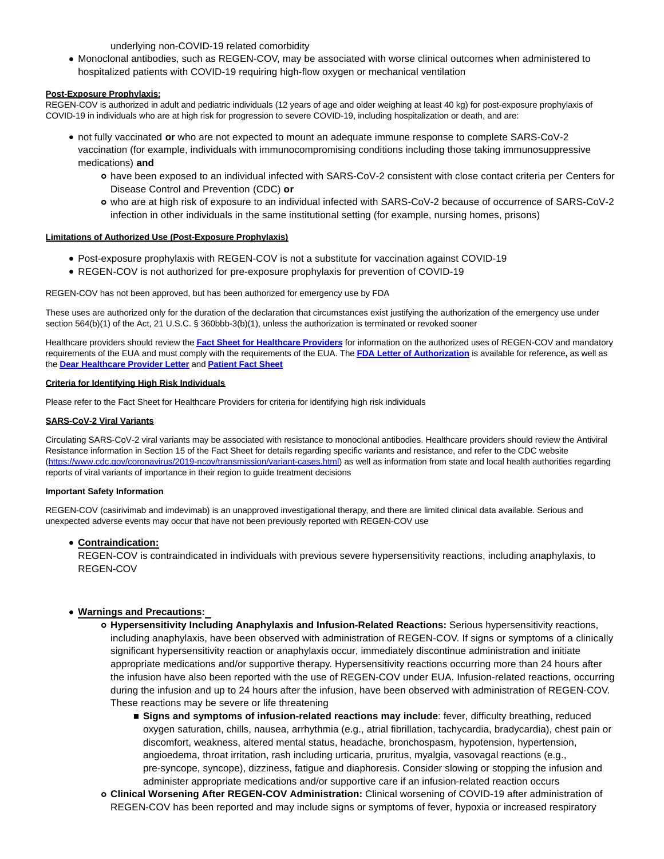underlying non-COVID-19 related comorbidity

Monoclonal antibodies, such as REGEN-COV, may be associated with worse clinical outcomes when administered to hospitalized patients with COVID-19 requiring high-flow oxygen or mechanical ventilation

#### **Post-Exposure Prophylaxis:**

REGEN-COV is authorized in adult and pediatric individuals (12 years of age and older weighing at least 40 kg) for post-exposure prophylaxis of COVID-19 in individuals who are at high risk for progression to severe COVID-19, including hospitalization or death, and are:

- not fully vaccinated **or** who are not expected to mount an adequate immune response to complete SARS-CoV-2 vaccination (for example, individuals with immunocompromising conditions including those taking immunosuppressive medications) **and**
	- have been exposed to an individual infected with SARS-CoV-2 consistent with close contact criteria per Centers for Disease Control and Prevention (CDC) **or**
	- who are at high risk of exposure to an individual infected with SARS-CoV-2 because of occurrence of SARS-CoV-2 infection in other individuals in the same institutional setting (for example, nursing homes, prisons)

# **Limitations of Authorized Use (Post-Exposure Prophylaxis)**

- Post-exposure prophylaxis with REGEN-COV is not a substitute for vaccination against COVID-19
- REGEN-COV is not authorized for pre-exposure prophylaxis for prevention of COVID-19

REGEN-COV has not been approved, but has been authorized for emergency use by FDA

These uses are authorized only for the duration of the declaration that circumstances exist justifying the authorization of the emergency use under section 564(b)(1) of the Act, 21 U.S.C. § 360bbb-3(b)(1), unless the authorization is terminated or revoked sooner

Healthcare providers should review the **[Fact Sheet for Healthcare Providers](https://c212.net/c/link/?t=0&l=en&o=3307638-1&h=4188364886&u=https%3A%2F%2Fwww.regeneron.com%2Fsites%2Fdefault%2Ffiles%2Ftreatment-covid19-eua-fact-sheet-for-hcp.pdf&a=Fact+Sheet+for+Healthcare+Providers)** for information on the authorized uses of REGEN-COV and mandatory requirements of the EUA and must comply with the requirements of the EUA. The **[FDA Letter of Authorization](https://c212.net/c/link/?t=0&l=en&o=3307638-1&h=1821368054&u=https%3A%2F%2Fwww.regeneron.com%2Fsites%2Fdefault%2Ffiles%2Ftreatment-covid19-eua-fda-letter.pdf&a=FDA+Letter+of+Authorization)** is available for reference**,** as well as the **[Dear Healthcare Provider Letter](https://c212.net/c/link/?t=0&l=en&o=3307638-1&h=3429741351&u=https%3A%2F%2Fwww.regeneron.com%2Fsites%2Fdefault%2Ffiles%2Ftreatment-covid19-eua-preventing-medication-errors.pdf&a=Dear+Healthcare+Provider+Letter)** and **[Patient Fact Sheet](https://c212.net/c/link/?t=0&l=en&o=3307638-1&h=244528412&u=https%3A%2F%2Fwww.regeneron.com%2Fsites%2Fdefault%2Ffiles%2Ftreatment-covid19-eua-fact-sheet-for-patient.pdf&a=Patient+Fact+Sheet)**

# **Criteria for Identifying High Risk Individuals**

Please refer to the Fact Sheet for Healthcare Providers for criteria for identifying high risk individuals

# **SARS-CoV-2 Viral Variants**

Circulating SARS-CoV-2 viral variants may be associated with resistance to monoclonal antibodies. Healthcare providers should review the Antiviral Resistance information in Section 15 of the Fact Sheet for details regarding specific variants and resistance, and refer to the CDC website [\(https://www.cdc.gov/coronavirus/2019-ncov/transmission/variant-cases.html\)](https://c212.net/c/link/?t=0&l=en&o=3307638-1&h=2067611102&u=https%3A%2F%2Fwww.cdc.gov%2Fcoronavirus%2F2019-ncov%2Ftransmission%2Fvariant-cases.html&a=https%3A%2F%2Fwww.cdc.gov%2Fcoronavirus%2F2019-ncov%2Ftransmission%2Fvariant-cases.html) as well as information from state and local health authorities regarding reports of viral variants of importance in their region to guide treatment decisions

#### **Important Safety Information**

REGEN-COV (casirivimab and imdevimab) is an unapproved investigational therapy, and there are limited clinical data available. Serious and unexpected adverse events may occur that have not been previously reported with REGEN-COV use

# **Contraindication:**

REGEN-COV is contraindicated in individuals with previous severe hypersensitivity reactions, including anaphylaxis, to REGEN-COV

# **Warnings and Precautions:**

- **Hypersensitivity Including Anaphylaxis and Infusion-Related Reactions:** Serious hypersensitivity reactions, including anaphylaxis, have been observed with administration of REGEN-COV. If signs or symptoms of a clinically significant hypersensitivity reaction or anaphylaxis occur, immediately discontinue administration and initiate appropriate medications and/or supportive therapy. Hypersensitivity reactions occurring more than 24 hours after the infusion have also been reported with the use of REGEN-COV under EUA. Infusion-related reactions, occurring during the infusion and up to 24 hours after the infusion, have been observed with administration of REGEN-COV. These reactions may be severe or life threatening
	- **Signs and symptoms of infusion-related reactions may include**: fever, difficulty breathing, reduced oxygen saturation, chills, nausea, arrhythmia (e.g., atrial fibrillation, tachycardia, bradycardia), chest pain or discomfort, weakness, altered mental status, headache, bronchospasm, hypotension, hypertension, angioedema, throat irritation, rash including urticaria, pruritus, myalgia, vasovagal reactions (e.g., pre-syncope, syncope), dizziness, fatigue and diaphoresis. Consider slowing or stopping the infusion and administer appropriate medications and/or supportive care if an infusion-related reaction occurs
- **Clinical Worsening After REGEN-COV Administration:** Clinical worsening of COVID-19 after administration of REGEN-COV has been reported and may include signs or symptoms of fever, hypoxia or increased respiratory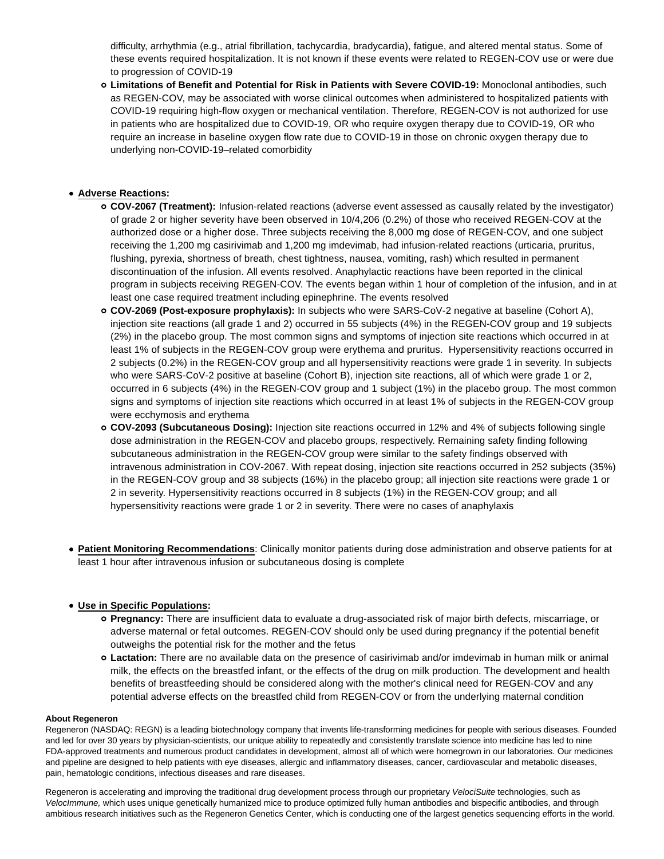difficulty, arrhythmia (e.g., atrial fibrillation, tachycardia, bradycardia), fatigue, and altered mental status. Some of these events required hospitalization. It is not known if these events were related to REGEN-COV use or were due to progression of COVID-19

**Limitations of Benefit and Potential for Risk in Patients with Severe COVID-19:** Monoclonal antibodies, such as REGEN-COV, may be associated with worse clinical outcomes when administered to hospitalized patients with COVID-19 requiring high-flow oxygen or mechanical ventilation. Therefore, REGEN-COV is not authorized for use in patients who are hospitalized due to COVID-19, OR who require oxygen therapy due to COVID-19, OR who require an increase in baseline oxygen flow rate due to COVID-19 in those on chronic oxygen therapy due to underlying non-COVID-19–related comorbidity

# **Adverse Reactions:**

- **COV-2067 (Treatment):** Infusion-related reactions (adverse event assessed as causally related by the investigator) of grade 2 or higher severity have been observed in 10/4,206 (0.2%) of those who received REGEN-COV at the authorized dose or a higher dose. Three subjects receiving the 8,000 mg dose of REGEN-COV, and one subject receiving the 1,200 mg casirivimab and 1,200 mg imdevimab, had infusion-related reactions (urticaria, pruritus, flushing, pyrexia, shortness of breath, chest tightness, nausea, vomiting, rash) which resulted in permanent discontinuation of the infusion. All events resolved. Anaphylactic reactions have been reported in the clinical program in subjects receiving REGEN-COV. The events began within 1 hour of completion of the infusion, and in at least one case required treatment including epinephrine. The events resolved
- **COV-2069 (Post-exposure prophylaxis):** In subjects who were SARS-CoV-2 negative at baseline (Cohort A), injection site reactions (all grade 1 and 2) occurred in 55 subjects (4%) in the REGEN-COV group and 19 subjects (2%) in the placebo group. The most common signs and symptoms of injection site reactions which occurred in at least 1% of subjects in the REGEN-COV group were erythema and pruritus. Hypersensitivity reactions occurred in 2 subjects (0.2%) in the REGEN-COV group and all hypersensitivity reactions were grade 1 in severity. In subjects who were SARS-CoV-2 positive at baseline (Cohort B), injection site reactions, all of which were grade 1 or 2, occurred in 6 subjects (4%) in the REGEN-COV group and 1 subject (1%) in the placebo group. The most common signs and symptoms of injection site reactions which occurred in at least 1% of subjects in the REGEN-COV group were ecchymosis and erythema
- **COV-2093 (Subcutaneous Dosing):** Injection site reactions occurred in 12% and 4% of subjects following single dose administration in the REGEN-COV and placebo groups, respectively. Remaining safety finding following subcutaneous administration in the REGEN-COV group were similar to the safety findings observed with intravenous administration in COV-2067. With repeat dosing, injection site reactions occurred in 252 subjects (35%) in the REGEN-COV group and 38 subjects (16%) in the placebo group; all injection site reactions were grade 1 or 2 in severity. Hypersensitivity reactions occurred in 8 subjects (1%) in the REGEN-COV group; and all hypersensitivity reactions were grade 1 or 2 in severity. There were no cases of anaphylaxis
- **Patient Monitoring Recommendations**: Clinically monitor patients during dose administration and observe patients for at least 1 hour after intravenous infusion or subcutaneous dosing is complete

# **Use in Specific Populations:**

- **Pregnancy:** There are insufficient data to evaluate a drug-associated risk of major birth defects, miscarriage, or adverse maternal or fetal outcomes. REGEN-COV should only be used during pregnancy if the potential benefit outweighs the potential risk for the mother and the fetus
- **Lactation:** There are no available data on the presence of casirivimab and/or imdevimab in human milk or animal milk, the effects on the breastfed infant, or the effects of the drug on milk production. The development and health benefits of breastfeeding should be considered along with the mother's clinical need for REGEN-COV and any potential adverse effects on the breastfed child from REGEN-COV or from the underlying maternal condition

#### **About Regeneron**

Regeneron (NASDAQ: REGN) is a leading biotechnology company that invents life-transforming medicines for people with serious diseases. Founded and led for over 30 years by physician-scientists, our unique ability to repeatedly and consistently translate science into medicine has led to nine FDA-approved treatments and numerous product candidates in development, almost all of which were homegrown in our laboratories. Our medicines and pipeline are designed to help patients with eye diseases, allergic and inflammatory diseases, cancer, cardiovascular and metabolic diseases, pain, hematologic conditions, infectious diseases and rare diseases.

Regeneron is accelerating and improving the traditional drug development process through our proprietary VelociSuite technologies, such as VelocImmune, which uses unique genetically humanized mice to produce optimized fully human antibodies and bispecific antibodies, and through ambitious research initiatives such as the Regeneron Genetics Center, which is conducting one of the largest genetics sequencing efforts in the world.